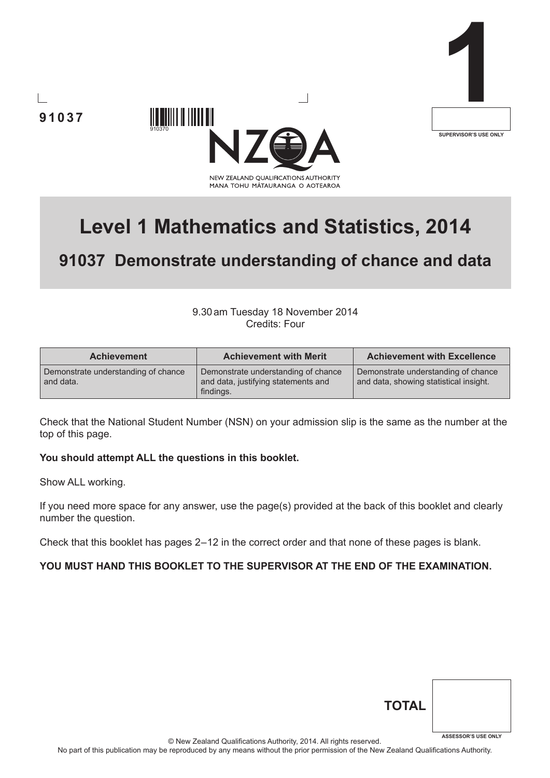



# **Level 1 Mathematics and Statistics, 2014**

**91037 Demonstrate understanding of chance and data**

9.30am Tuesday 18 November 2014 Credits: Four

| <b>Achievement</b>                                 | <b>Achievement with Merit</b>                                                           | <b>Achievement with Excellence</b>                                            |
|----------------------------------------------------|-----------------------------------------------------------------------------------------|-------------------------------------------------------------------------------|
| Demonstrate understanding of chance<br>l and data. | Demonstrate understanding of chance<br>and data, justifying statements and<br>findings. | Demonstrate understanding of chance<br>and data, showing statistical insight. |

Check that the National Student Number (NSN) on your admission slip is the same as the number at the top of this page.

#### **You should attempt ALL the questions in this booklet.**

Show ALL working.

**91037**

If you need more space for any answer, use the page(s) provided at the back of this booklet and clearly number the question.

Check that this booklet has pages 2–12 in the correct order and that none of these pages is blank.

#### **YOU MUST HAND THIS BOOKLET TO THE SUPERVISOR AT THE END OF THE EXAMINATION.**

| <b>TOTAL</b> |                            |
|--------------|----------------------------|
|              | <b>ASSESSOR'S USE ONLY</b> |

© New Zealand Qualifications Authority, 2014. All rights reserved.

No part of this publication may be reproduced by any means without the prior permission of the New Zealand Qualifications Authority.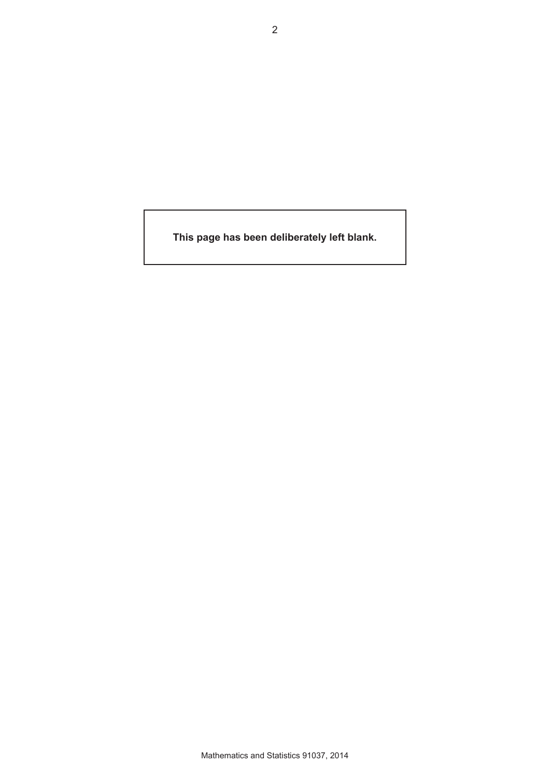**This page has been deliberately left blank.**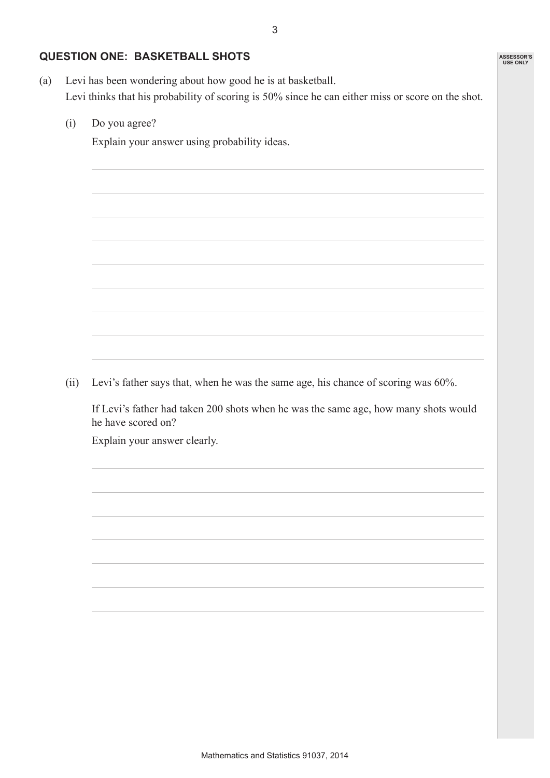### **QUESTION ONE: BASKETBALL SHOTS**

(a) Levi has been wondering about how good he is at basketball. Levi thinks that his probability of scoring is 50% since he can either miss or score on the shot.

(i) Do you agree?

Explain your answer using probability ideas.

(ii) Levi's father says that, when he was the same age, his chance of scoring was 60%.

 If Levi's father had taken 200 shots when he was the same age, how many shots would he have scored on?

Explain your answer clearly.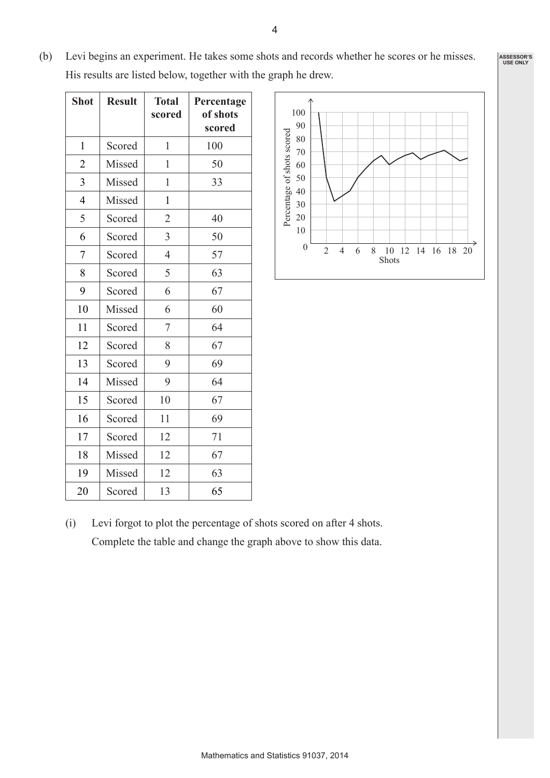(b) Levi begins an experiment. He takes some shots and records whether he scores or he misses. His results are listed below, together with the graph he drew.

| <b>Shot</b>    | <b>Result</b> | <b>Total</b><br>scored | Percentage<br>of shots<br>scored |
|----------------|---------------|------------------------|----------------------------------|
| $\mathbf{1}$   | Scored        | $\mathbf{1}$           | 100                              |
| $\overline{2}$ | Missed        | 1                      | 50                               |
| 3              | Missed        | 1                      | 33                               |
| $\overline{4}$ | Missed        | $\mathbf{1}$           |                                  |
| 5              | Scored        | $\overline{2}$         | 40                               |
| 6              | Scored        | 3                      | 50                               |
| 7              | Scored        | $\overline{4}$         | 57                               |
| 8              | Scored        | 5                      | 63                               |
| 9              | Scored        | 6                      | 67                               |
| 10             | Missed        | 6                      | 60                               |
| 11             | Scored        | 7                      | 64                               |
| 12             | Scored        | 8                      | 67                               |
| 13             | Scored        | 9                      | 69                               |
| 14             | Missed        | 9                      | 64                               |
| 15             | Scored        | 10                     | 67                               |
| 16             | Scored        | 11                     | 69                               |
| 17             | Scored        | 12                     | 71                               |
| 18             | Missed        | 12                     | 67                               |
| 19             | Missed        | 12                     | 63                               |
| 20             | Scored        | 13                     | 65                               |



(i) Levi forgot to plot the percentage of shots scored on after 4 shots. Complete the table and change the graph above to show this data.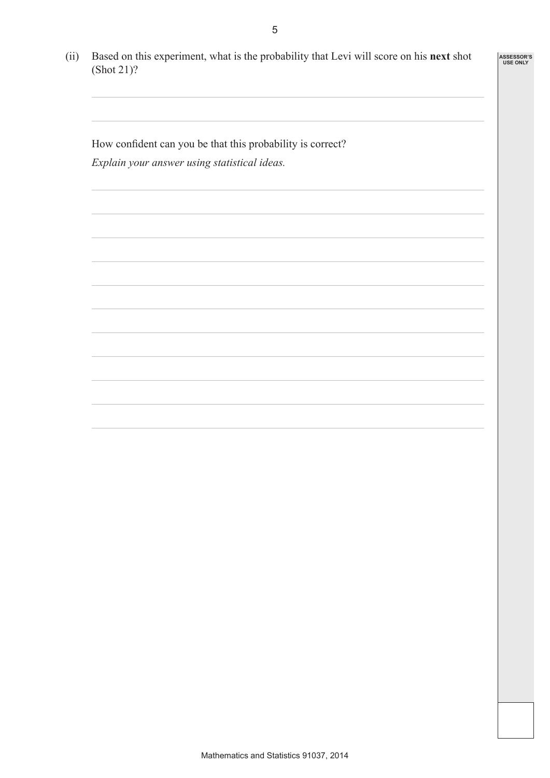**ASSESSOR'S USE ONLY**

(ii) Based on this experiment, what is the probability that Levi will score on his **next** shot (Shot 21)?

 How confident can you be that this probability is correct?  *Explain your answer using statistical ideas.*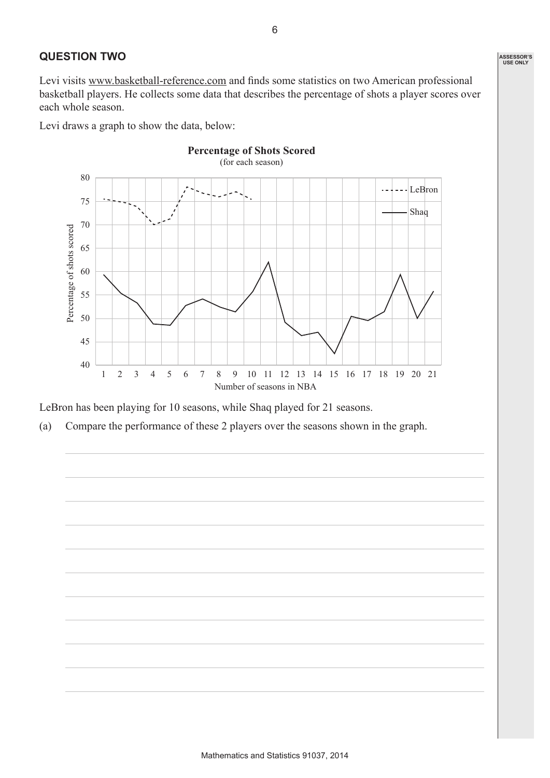## **QUESTION TWO**

Levi visits www.basketball-reference.com and finds some statistics on two American professional basketball players. He collects some data that describes the percentage of shots a player scores over each whole season.

Levi draws a graph to show the data, below:



LeBron has been playing for 10 seasons, while Shaq played for 21 seasons.

(a) Compare the performance of these 2 players over the seasons shown in the graph.

| <b>ASSESSOR'S<br/>USE ONLY</b> |
|--------------------------------|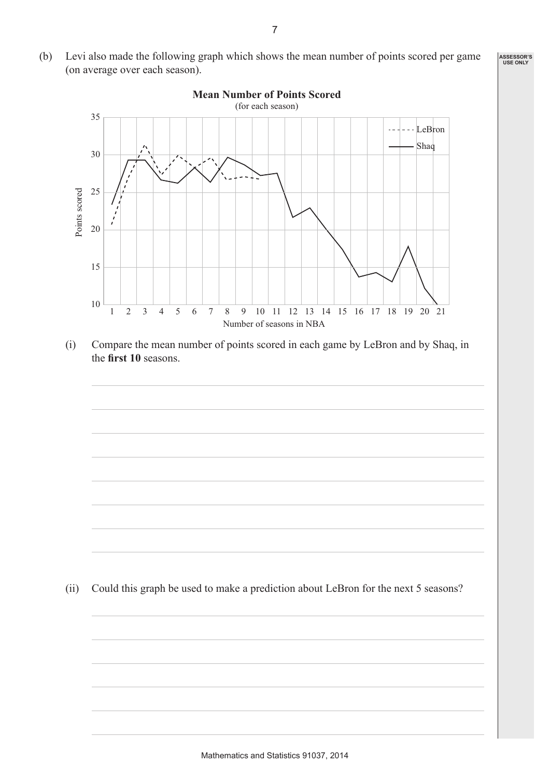(b) Levi also made the following graph which shows the mean number of points scored per game (on average over each season). **ASSESSOR'S USE ONLY**



(i) Compare the mean number of points scored in each game by LeBron and by Shaq, in the **first 10** seasons.



(ii) Could this graph be used to make a prediction about LeBron for the next 5 seasons?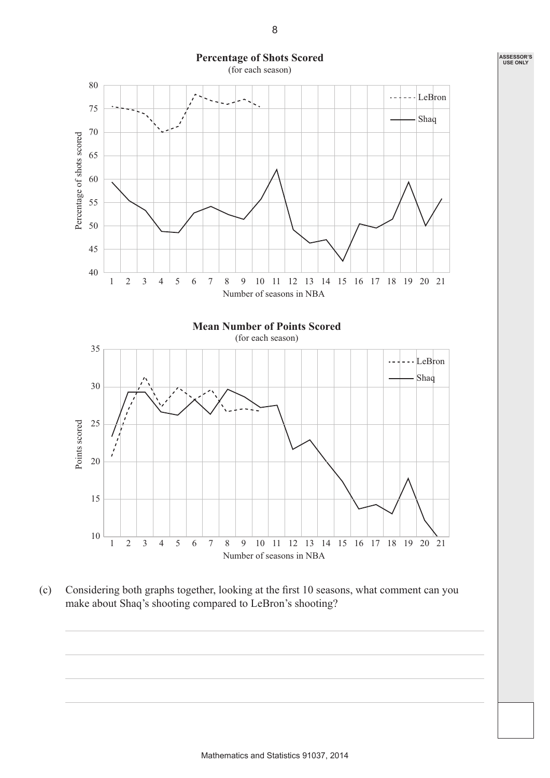

(c) Considering both graphs together, looking at the first 10 seasons, what comment can you make about Shaq's shooting compared to LeBron's shooting?

8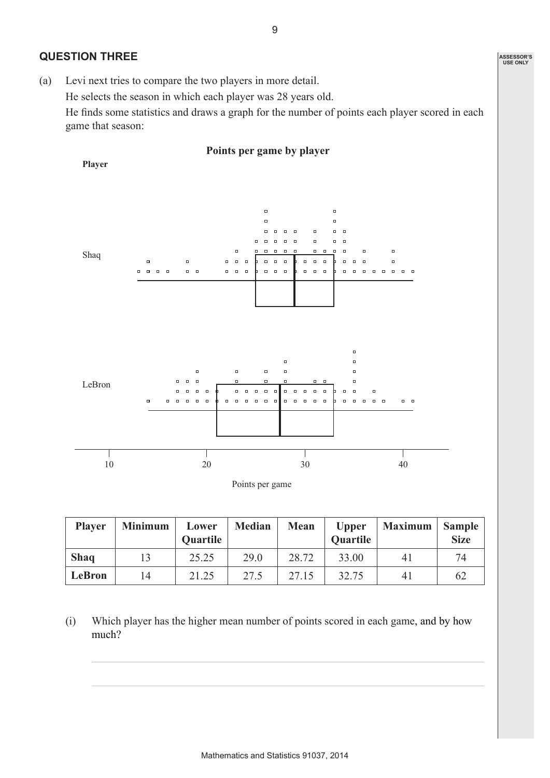## **QUESTION THREE**

(a) Levi next tries to compare the two players in more detail. He selects the season in which each player was 28 years old. He finds some statistics and draws a graph for the number of points each player scored in each game that season:

#### **Points per game by player**

**Player**



| Points per game |  |  |
|-----------------|--|--|
|-----------------|--|--|

| <b>Player</b> | <b>Minimum</b> | Lower<br><b>Quartile</b> | <b>Median</b> | <b>Mean</b> | <b>Upper</b><br><b>Quartile</b> | <b>Maximum</b> | <b>Sample</b><br><b>Size</b> |
|---------------|----------------|--------------------------|---------------|-------------|---------------------------------|----------------|------------------------------|
| <b>Shaq</b>   | 13             | 25.25                    | 29.0          | 28.72       | 33.00                           | 41             | 74                           |
| <b>LeBron</b> | 14             | 21.25                    | 27.5          | 27.15       | 32.75                           | $4^{\circ}$    | 62                           |

(i) Which player has the higher mean number of points scored in each game, and by how much?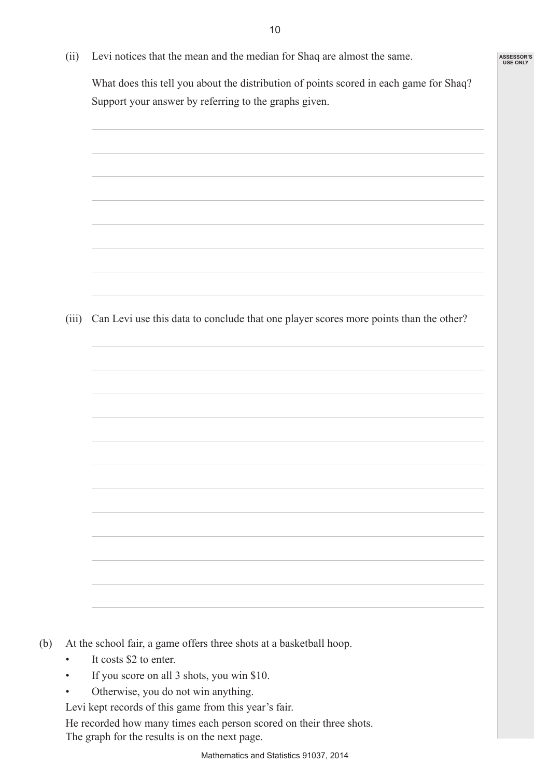(ii) Levi notices that the mean and the median for Shaq are almost the same.

What does this tell you about the distribution of points scored in each game for Shaq? Support your answer by referring to the graphs given.

**ASSESSOR'S USE ONLY**



- (b) At the school fair, a game offers three shots at a basketball hoop.
	- It costs \$2 to enter.
	- If you score on all 3 shots, you win \$10.
	- Otherwise, you do not win anything.

Levi kept records of this game from this year's fair.

He recorded how many times each person scored on their three shots. The graph for the results is on the next page.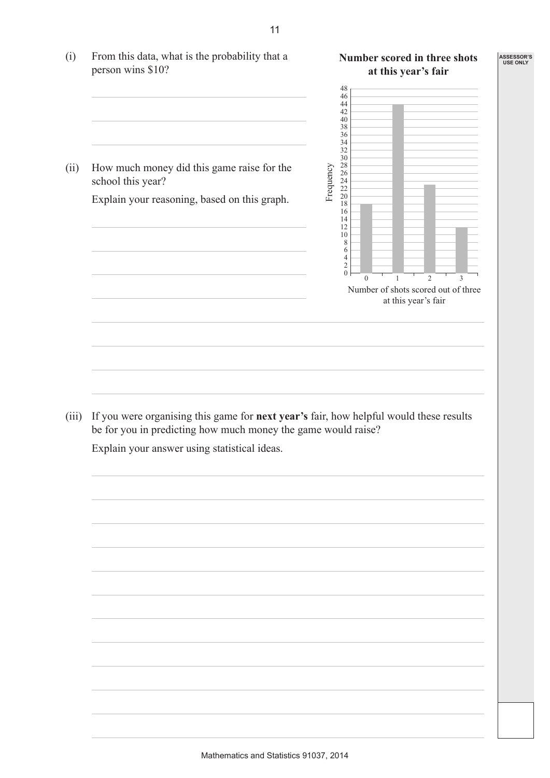